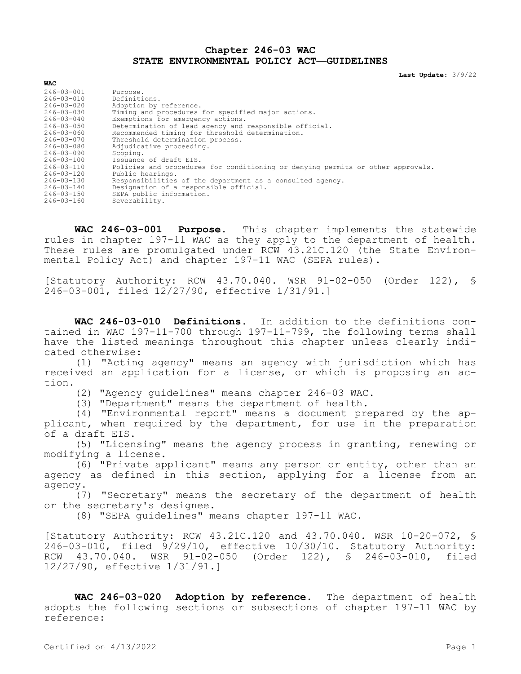## **Chapter 246-03 WAC STATE ENVIRONMENTAL POLICY ACT—GUIDELINES**

**Last Update:** 3/9/22

| Purpose.                                                                        |
|---------------------------------------------------------------------------------|
| Definitions.                                                                    |
| Adoption by reference.                                                          |
| Timing and procedures for specified major actions.                              |
| Exemptions for emergency actions.                                               |
| Determination of lead agency and responsible official.                          |
| Recommended timing for threshold determination.                                 |
| Threshold determination process.                                                |
| Adjudicative proceeding.                                                        |
| Scoping.                                                                        |
| Issuance of draft EIS.                                                          |
| Policies and procedures for conditioning or denying permits or other approvals. |
| Public hearings.                                                                |
| Responsibilities of the department as a consulted agency.                       |
| Designation of a responsible official.                                          |
| SEPA public information.                                                        |
| Severability.                                                                   |
|                                                                                 |

**WAC 246-03-001 Purpose.** This chapter implements the statewide rules in chapter 197-11 WAC as they apply to the department of health. These rules are promulgated under RCW 43.21C.120 (the State Environmental Policy Act) and chapter 197-11 WAC (SEPA rules).

[Statutory Authority: RCW 43.70.040. WSR 91-02-050 (Order 122), § 246-03-001, filed 12/27/90, effective 1/31/91.]

**WAC 246-03-010 Definitions.** In addition to the definitions contained in WAC 197-11-700 through 197-11-799, the following terms shall have the listed meanings throughout this chapter unless clearly indicated otherwise:

(1) "Acting agency" means an agency with jurisdiction which has received an application for a license, or which is proposing an action.

(2) "Agency guidelines" means chapter 246-03 WAC.

(3) "Department" means the department of health.

(4) "Environmental report" means a document prepared by the applicant, when required by the department, for use in the preparation of a draft EIS.

(5) "Licensing" means the agency process in granting, renewing or modifying a license.

(6) "Private applicant" means any person or entity, other than an agency as defined in this section, applying for a license from an agency.

(7) "Secretary" means the secretary of the department of health or the secretary's designee.

(8) "SEPA guidelines" means chapter 197-11 WAC.

[Statutory Authority: RCW 43.21C.120 and 43.70.040. WSR 10-20-072, § 246-03-010, filed 9/29/10, effective 10/30/10. Statutory Authority: RCW 43.70.040. WSR 91-02-050 (Order 122), § 246-03-010, filed 12/27/90, effective 1/31/91.]

**WAC 246-03-020 Adoption by reference.** The department of health adopts the following sections or subsections of chapter 197-11 WAC by reference:

**WAC**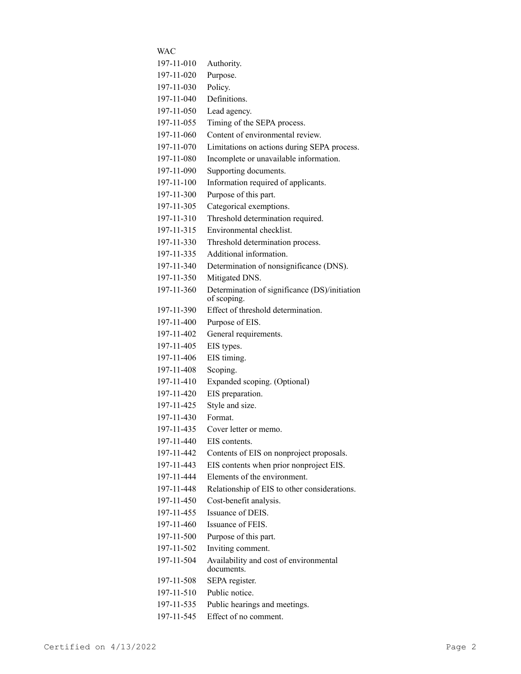| WAC        |                                                              |
|------------|--------------------------------------------------------------|
| 197-11-010 | Authority.                                                   |
| 197-11-020 | Purpose.                                                     |
| 197-11-030 | Policy.                                                      |
| 197-11-040 | Definitions.                                                 |
| 197-11-050 | Lead agency.                                                 |
| 197-11-055 | Timing of the SEPA process.                                  |
| 197-11-060 | Content of environmental review.                             |
| 197-11-070 | Limitations on actions during SEPA process.                  |
| 197-11-080 | Incomplete or unavailable information.                       |
| 197-11-090 | Supporting documents.                                        |
| 197-11-100 | Information required of applicants.                          |
| 197-11-300 | Purpose of this part.                                        |
| 197-11-305 | Categorical exemptions.                                      |
| 197-11-310 | Threshold determination required.                            |
| 197-11-315 | Environmental checklist.                                     |
| 197-11-330 | Threshold determination process.                             |
| 197-11-335 | Additional information.                                      |
| 197-11-340 | Determination of nonsignificance (DNS).                      |
| 197-11-350 | Mitigated DNS.                                               |
| 197-11-360 | Determination of significance (DS)/initiation<br>of scoping. |
| 197-11-390 | Effect of threshold determination.                           |
| 197-11-400 | Purpose of EIS.                                              |
| 197-11-402 | General requirements.                                        |
| 197-11-405 | EIS types.                                                   |
| 197-11-406 | EIS timing.                                                  |
| 197-11-408 | Scoping.                                                     |
| 197-11-410 | Expanded scoping. (Optional)                                 |
| 197-11-420 | EIS preparation.                                             |
| 197-11-425 | Style and size.                                              |
| 197-11-430 | Format.                                                      |
| 197-11-435 | Cover letter or memo.                                        |
| 197-11-440 | EIS contents.                                                |
| 197-11-442 | Contents of EIS on nonproject proposals.                     |
| 197-11-443 | EIS contents when prior nonproject EIS.                      |
| 197-11-444 | Elements of the environment.                                 |
| 197-11-448 | Relationship of EIS to other considerations.                 |
| 197-11-450 | Cost-benefit analysis.                                       |
| 197-11-455 | Issuance of DEIS.                                            |
| 197-11-460 | Issuance of FEIS.                                            |
| 197-11-500 | Purpose of this part.                                        |
| 197-11-502 | Inviting comment.                                            |
| 197-11-504 | Availability and cost of environmental<br>documents.         |
| 197-11-508 | SEPA register.                                               |
| 197-11-510 | Public notice.                                               |
| 197-11-535 | Public hearings and meetings.                                |
| 197-11-545 | Effect of no comment.                                        |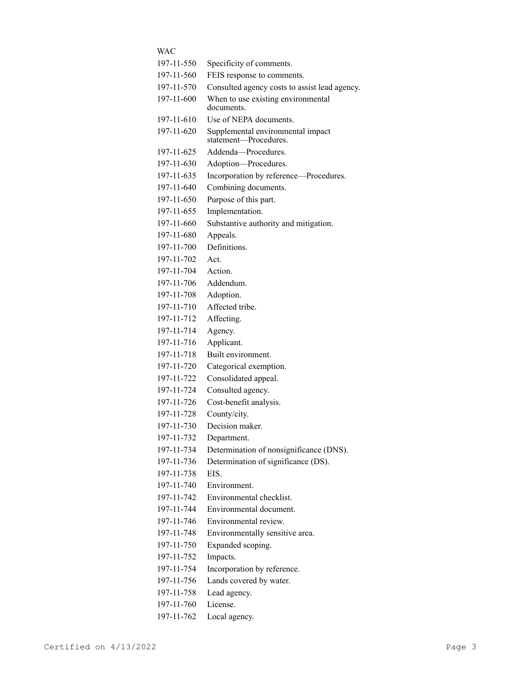| WAC        |                                                            |
|------------|------------------------------------------------------------|
| 197-11-550 | Specificity of comments.                                   |
| 197-11-560 | FEIS response to comments.                                 |
| 197-11-570 | Consulted agency costs to assist lead agency.              |
| 197-11-600 | When to use existing environmental<br>documents.           |
| 197-11-610 | Use of NEPA documents.                                     |
| 197-11-620 | Supplemental environmental impact<br>statement-Procedures. |
| 197-11-625 | Addenda-Procedures.                                        |
| 197-11-630 | Adoption-Procedures.                                       |
| 197-11-635 | Incorporation by reference-Procedures.                     |
| 197-11-640 | Combining documents.                                       |
| 197-11-650 | Purpose of this part.                                      |
| 197-11-655 | Implementation.                                            |
| 197-11-660 | Substantive authority and mitigation.                      |
| 197-11-680 | Appeals.                                                   |
| 197-11-700 | Definitions.                                               |
| 197-11-702 | Act.                                                       |
| 197-11-704 | Action.                                                    |
| 197-11-706 | Addendum.                                                  |
| 197-11-708 | Adoption.                                                  |
| 197-11-710 | Affected tribe.                                            |
| 197-11-712 | Affecting.                                                 |
| 197-11-714 | Agency.                                                    |
| 197-11-716 | Applicant.                                                 |
| 197-11-718 | Built environment.                                         |
| 197-11-720 | Categorical exemption.                                     |
| 197-11-722 | Consolidated appeal.                                       |
| 197-11-724 | Consulted agency.                                          |
| 197-11-726 | Cost-benefit analysis.                                     |
| 197-11-728 | County/city.                                               |
| 197-11-730 | Decision maker.                                            |
| 197-11-732 | Department.                                                |
| 197-11-734 | Determination of nonsignificance (DNS).                    |
| 197-11-736 | Determination of significance (DS).                        |
| 197-11-738 | EIS.                                                       |
| 197-11-740 | Environment.                                               |
| 197-11-742 | Environmental checklist.                                   |
| 197-11-744 | Environmental document.                                    |
| 197-11-746 | Environmental review.                                      |
| 197-11-748 | Environmentally sensitive area.                            |
| 197-11-750 | Expanded scoping.                                          |
| 197-11-752 | Impacts.                                                   |
| 197-11-754 | Incorporation by reference.                                |
| 197-11-756 | Lands covered by water.                                    |
| 197-11-758 | Lead agency.                                               |
| 197-11-760 | License.                                                   |
|            |                                                            |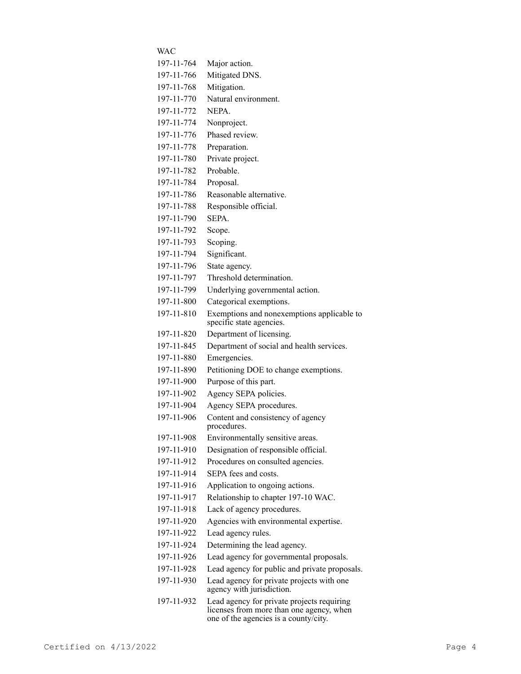| WAC        |                                                                                                                                 |
|------------|---------------------------------------------------------------------------------------------------------------------------------|
| 197-11-764 | Major action.                                                                                                                   |
| 197-11-766 | Mitigated DNS.                                                                                                                  |
| 197-11-768 | Mitigation.                                                                                                                     |
| 197-11-770 | Natural environment.                                                                                                            |
| 197-11-772 | NEPA.                                                                                                                           |
| 197-11-774 | Nonproject.                                                                                                                     |
| 197-11-776 | Phased review.                                                                                                                  |
| 197-11-778 | Preparation.                                                                                                                    |
| 197-11-780 | Private project.                                                                                                                |
| 197-11-782 | Probable.                                                                                                                       |
| 197-11-784 | Proposal.                                                                                                                       |
| 197-11-786 | Reasonable alternative.                                                                                                         |
| 197-11-788 | Responsible official.                                                                                                           |
| 197-11-790 | SEPA.                                                                                                                           |
| 197-11-792 | Scope.                                                                                                                          |
| 197-11-793 | Scoping.                                                                                                                        |
| 197-11-794 | Significant.                                                                                                                    |
| 197-11-796 | State agency.                                                                                                                   |
| 197-11-797 | Threshold determination.                                                                                                        |
| 197-11-799 | Underlying governmental action.                                                                                                 |
| 197-11-800 | Categorical exemptions.                                                                                                         |
| 197-11-810 | Exemptions and nonexemptions applicable to<br>specific state agencies.                                                          |
| 197-11-820 | Department of licensing.                                                                                                        |
| 197-11-845 | Department of social and health services.                                                                                       |
| 197-11-880 | Emergencies.                                                                                                                    |
| 197-11-890 | Petitioning DOE to change exemptions.                                                                                           |
| 197-11-900 | Purpose of this part.                                                                                                           |
| 197-11-902 | Agency SEPA policies.                                                                                                           |
| 197-11-904 | Agency SEPA procedures.                                                                                                         |
| 197-11-906 | Content and consistency of agency<br>procedures.                                                                                |
| 197-11-908 | Environmentally sensitive areas.                                                                                                |
| 197-11-910 | Designation of responsible official.                                                                                            |
| 197-11-912 | Procedures on consulted agencies.                                                                                               |
| 197-11-914 | SEPA fees and costs.                                                                                                            |
| 197-11-916 | Application to ongoing actions.                                                                                                 |
| 197-11-917 | Relationship to chapter 197-10 WAC.                                                                                             |
| 197-11-918 | Lack of agency procedures.                                                                                                      |
| 197-11-920 | Agencies with environmental expertise.                                                                                          |
| 197-11-922 | Lead agency rules.                                                                                                              |
| 197-11-924 | Determining the lead agency.                                                                                                    |
| 197-11-926 | Lead agency for governmental proposals.                                                                                         |
| 197-11-928 | Lead agency for public and private proposals.                                                                                   |
| 197-11-930 | Lead agency for private projects with one<br>agency with jurisdiction.                                                          |
| 197-11-932 | Lead agency for private projects requiring<br>licenses from more than one agency, when<br>one of the agencies is a county/city. |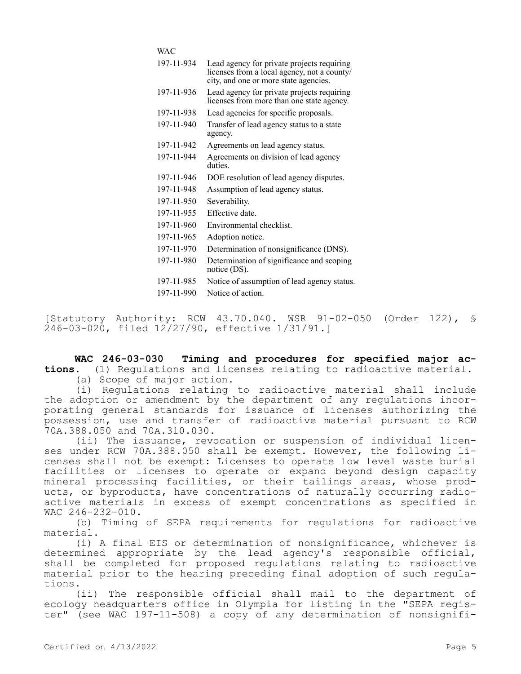WAC

| 197-11-934 | Lead agency for private projects requiring<br>licenses from a local agency, not a county/<br>city, and one or more state agencies. |
|------------|------------------------------------------------------------------------------------------------------------------------------------|
| 197-11-936 | Lead agency for private projects requiring<br>licenses from more than one state agency.                                            |
| 197-11-938 | Lead agencies for specific proposals.                                                                                              |
| 197-11-940 | Transfer of lead agency status to a state<br>agency.                                                                               |
| 197-11-942 | Agreements on lead agency status.                                                                                                  |
| 197-11-944 | Agreements on division of lead agency<br>duties.                                                                                   |
| 197-11-946 | DOE resolution of lead agency disputes.                                                                                            |
| 197-11-948 | Assumption of lead agency status.                                                                                                  |
| 197-11-950 | Severability.                                                                                                                      |
| 197-11-955 | Effective date.                                                                                                                    |
| 197-11-960 | Environmental checklist.                                                                                                           |
| 197-11-965 | Adoption notice.                                                                                                                   |
| 197-11-970 | Determination of nonsignificance (DNS).                                                                                            |
| 197-11-980 | Determination of significance and scoping<br>notice (DS).                                                                          |
| 197-11-985 | Notice of assumption of lead agency status.                                                                                        |
| 197-11-990 | Notice of action.                                                                                                                  |
|            |                                                                                                                                    |

[Statutory Authority: RCW 43.70.040. WSR 91-02-050 (Order 122), § 246-03-020, filed 12/27/90, effective 1/31/91.]

**WAC 246-03-030 Timing and procedures for specified major actions.** (1) Regulations and licenses relating to radioactive material.

(a) Scope of major action.

(i) Regulations relating to radioactive material shall include the adoption or amendment by the department of any regulations incorporating general standards for issuance of licenses authorizing the possession, use and transfer of radioactive material pursuant to RCW 70A.388.050 and 70A.310.030.

(ii) The issuance, revocation or suspension of individual licenses under RCW 70A.388.050 shall be exempt. However, the following licenses shall not be exempt: Licenses to operate low level waste burial facilities or licenses to operate or expand beyond design capacity mineral processing facilities, or their tailings areas, whose products, or byproducts, have concentrations of naturally occurring radioactive materials in excess of exempt concentrations as specified in WAC 246-232-010.

(b) Timing of SEPA requirements for regulations for radioactive material.

(i) A final EIS or determination of nonsignificance, whichever is determined appropriate by the lead agency's responsible official, shall be completed for proposed regulations relating to radioactive material prior to the hearing preceding final adoption of such regulations.

(ii) The responsible official shall mail to the department of ecology headquarters office in Olympia for listing in the "SEPA register" (see WAC 197-11-508) a copy of any determination of nonsignifi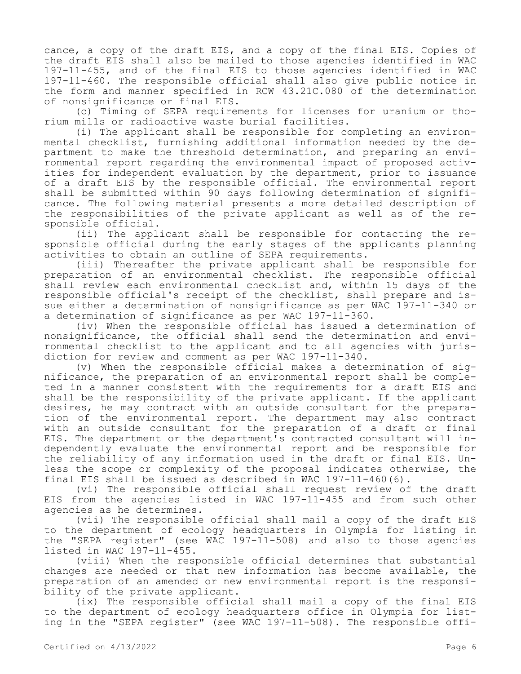cance, a copy of the draft EIS, and a copy of the final EIS. Copies of the draft EIS shall also be mailed to those agencies identified in WAC 197-11-455, and of the final EIS to those agencies identified in WAC 197-11-460. The responsible official shall also give public notice in the form and manner specified in RCW 43.21C.080 of the determination of nonsignificance or final EIS.

(c) Timing of SEPA requirements for licenses for uranium or thorium mills or radioactive waste burial facilities.

(i) The applicant shall be responsible for completing an environmental checklist, furnishing additional information needed by the department to make the threshold determination, and preparing an environmental report regarding the environmental impact of proposed activities for independent evaluation by the department, prior to issuance of a draft EIS by the responsible official. The environmental report shall be submitted within 90 days following determination of significance. The following material presents a more detailed description of the responsibilities of the private applicant as well as of the responsible official.

(ii) The applicant shall be responsible for contacting the responsible official during the early stages of the applicants planning activities to obtain an outline of SEPA requirements.

(iii) Thereafter the private applicant shall be responsible for preparation of an environmental checklist. The responsible official shall review each environmental checklist and, within 15 days of the responsible official's receipt of the checklist, shall prepare and issue either a determination of nonsignificance as per WAC 197-11-340 or a determination of significance as per WAC 197-11-360.

(iv) When the responsible official has issued a determination of nonsignificance, the official shall send the determination and environmental checklist to the applicant and to all agencies with jurisdiction for review and comment as per WAC 197-11-340.

(v) When the responsible official makes a determination of significance, the preparation of an environmental report shall be completed in a manner consistent with the requirements for a draft EIS and shall be the responsibility of the private applicant. If the applicant desires, he may contract with an outside consultant for the preparation of the environmental report. The department may also contract with an outside consultant for the preparation of a draft or final EIS. The department or the department's contracted consultant will independently evaluate the environmental report and be responsible for the reliability of any information used in the draft or final EIS. Unless the scope or complexity of the proposal indicates otherwise, the final EIS shall be issued as described in WAC 197-11-460(6).

(vi) The responsible official shall request review of the draft EIS from the agencies listed in WAC 197-11-455 and from such other agencies as he determines.

(vii) The responsible official shall mail a copy of the draft EIS to the department of ecology headquarters in Olympia for listing in the "SEPA register" (see WAC 197-11-508) and also to those agencies listed in WAC 197-11-455.

(viii) When the responsible official determines that substantial changes are needed or that new information has become available, the preparation of an amended or new environmental report is the responsibility of the private applicant.

(ix) The responsible official shall mail a copy of the final EIS to the department of ecology headquarters office in Olympia for listing in the "SEPA register" (see WAC 197-11-508). The responsible offi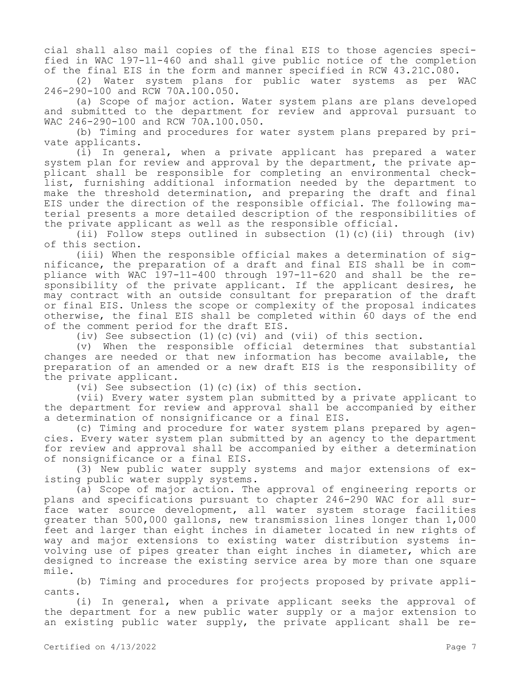cial shall also mail copies of the final EIS to those agencies specified in WAC 197-11-460 and shall give public notice of the completion of the final EIS in the form and manner specified in RCW 43.21C.080.

(2) Water system plans for public water systems as per WAC 246-290-100 and RCW 70A.100.050.

(a) Scope of major action. Water system plans are plans developed and submitted to the department for review and approval pursuant to WAC 246-290-100 and RCW 70A.100.050.

(b) Timing and procedures for water system plans prepared by private applicants.

(i) In general, when a private applicant has prepared a water system plan for review and approval by the department, the private applicant shall be responsible for completing an environmental checklist, furnishing additional information needed by the department to make the threshold determination, and preparing the draft and final EIS under the direction of the responsible official. The following material presents a more detailed description of the responsibilities of the private applicant as well as the responsible official.

(ii) Follow steps outlined in subsection (1)(c)(ii) through (iv) of this section.

(iii) When the responsible official makes a determination of significance, the preparation of a draft and final EIS shall be in compliance with WAC 197-11-400 through 197-11-620 and shall be the responsibility of the private applicant. If the applicant desires, he may contract with an outside consultant for preparation of the draft or final EIS. Unless the scope or complexity of the proposal indicates otherwise, the final EIS shall be completed within 60 days of the end of the comment period for the draft EIS.

(iv) See subsection  $(1)(c)(vi)$  and  $(vii)$  of this section.

(v) When the responsible official determines that substantial changes are needed or that new information has become available, the preparation of an amended or a new draft EIS is the responsibility of the private applicant.

(vi) See subsection (1)(c)(ix) of this section.

(vii) Every water system plan submitted by a private applicant to the department for review and approval shall be accompanied by either a determination of nonsignificance or a final EIS.

(c) Timing and procedure for water system plans prepared by agencies. Every water system plan submitted by an agency to the department for review and approval shall be accompanied by either a determination of nonsignificance or a final EIS.

(3) New public water supply systems and major extensions of existing public water supply systems.

(a) Scope of major action. The approval of engineering reports or plans and specifications pursuant to chapter 246-290 WAC for all surface water source development, all water system storage facilities greater than 500,000 gallons, new transmission lines longer than 1,000 feet and larger than eight inches in diameter located in new rights of way and major extensions to existing water distribution systems involving use of pipes greater than eight inches in diameter, which are designed to increase the existing service area by more than one square mile.

(b) Timing and procedures for projects proposed by private applicants.

(i) In general, when a private applicant seeks the approval of the department for a new public water supply or a major extension to an existing public water supply, the private applicant shall be re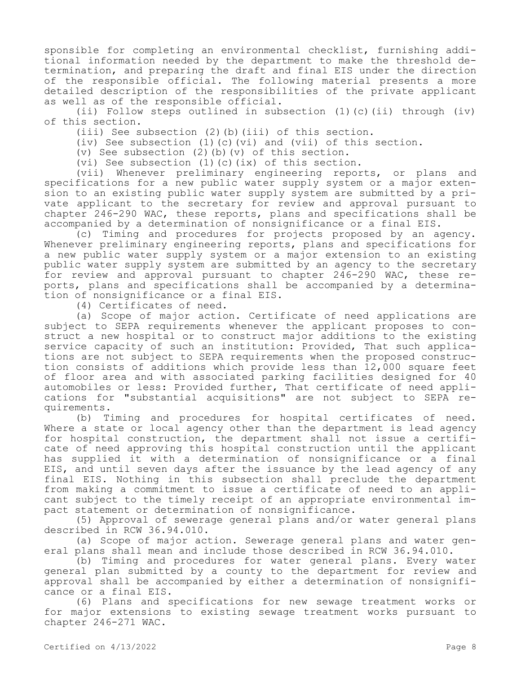sponsible for completing an environmental checklist, furnishing additional information needed by the department to make the threshold determination, and preparing the draft and final EIS under the direction of the responsible official. The following material presents a more detailed description of the responsibilities of the private applicant as well as of the responsible official.

(ii) Follow steps outlined in subsection (1)(c)(ii) through (iv) of this section.

(iii) See subsection (2)(b)(iii) of this section.

(iv) See subsection  $(1)(c)(vi)$  and  $(vii)$  of this section.

(v) See subsection (2)(b)(v) of this section.

(vi) See subsection (1)(c)(ix) of this section.

(vii) Whenever preliminary engineering reports, or plans and specifications for a new public water supply system or a major extension to an existing public water supply system are submitted by a private applicant to the secretary for review and approval pursuant to chapter 246-290 WAC, these reports, plans and specifications shall be accompanied by a determination of nonsignificance or a final EIS.

(c) Timing and procedures for projects proposed by an agency. Whenever preliminary engineering reports, plans and specifications for a new public water supply system or a major extension to an existing public water supply system are submitted by an agency to the secretary for review and approval pursuant to chapter 246-290 WAC, these reports, plans and specifications shall be accompanied by a determination of nonsignificance or a final EIS.

(4) Certificates of need.

(a) Scope of major action. Certificate of need applications are subject to SEPA requirements whenever the applicant proposes to construct a new hospital or to construct major additions to the existing service capacity of such an institution: Provided, That such applications are not subject to SEPA requirements when the proposed construction consists of additions which provide less than 12,000 square feet of floor area and with associated parking facilities designed for 40 automobiles or less: Provided further, That certificate of need applications for "substantial acquisitions" are not subject to SEPA requirements.

(b) Timing and procedures for hospital certificates of need. Where a state or local agency other than the department is lead agency for hospital construction, the department shall not issue a certificate of need approving this hospital construction until the applicant has supplied it with a determination of nonsignificance or a final EIS, and until seven days after the issuance by the lead agency of any final EIS. Nothing in this subsection shall preclude the department from making a commitment to issue a certificate of need to an applicant subject to the timely receipt of an appropriate environmental impact statement or determination of nonsignificance.

(5) Approval of sewerage general plans and/or water general plans described in RCW 36.94.010.

(a) Scope of major action. Sewerage general plans and water general plans shall mean and include those described in RCW 36.94.010.

(b) Timing and procedures for water general plans. Every water general plan submitted by a county to the department for review and approval shall be accompanied by either a determination of nonsignificance or a final EIS.

(6) Plans and specifications for new sewage treatment works or for major extensions to existing sewage treatment works pursuant to chapter 246-271 WAC.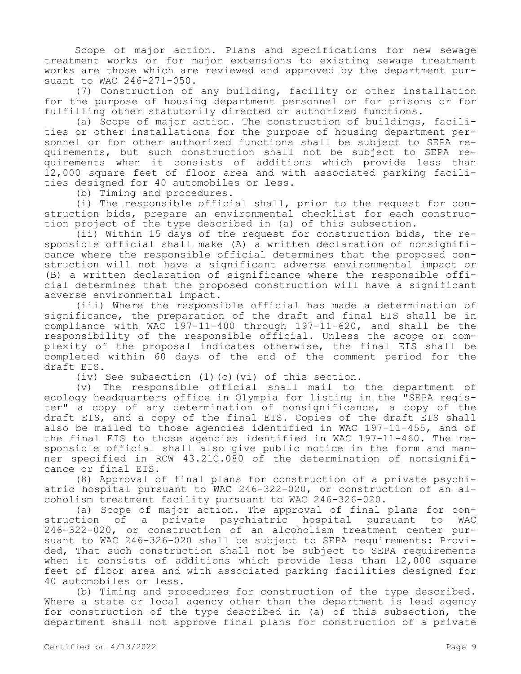Scope of major action. Plans and specifications for new sewage treatment works or for major extensions to existing sewage treatment works are those which are reviewed and approved by the department pursuant to WAC 246-271-050.

(7) Construction of any building, facility or other installation for the purpose of housing department personnel or for prisons or for fulfilling other statutorily directed or authorized functions.

(a) Scope of major action. The construction of buildings, facilities or other installations for the purpose of housing department personnel or for other authorized functions shall be subject to SEPA requirements, but such construction shall not be subject to SEPA requirements when it consists of additions which provide less than 12,000 square feet of floor area and with associated parking facilities designed for 40 automobiles or less.

(b) Timing and procedures.

(i) The responsible official shall, prior to the request for construction bids, prepare an environmental checklist for each construction project of the type described in (a) of this subsection.

(ii) Within 15 days of the request for construction bids, the responsible official shall make (A) a written declaration of nonsignificance where the responsible official determines that the proposed construction will not have a significant adverse environmental impact or (B) a written declaration of significance where the responsible official determines that the proposed construction will have a significant adverse environmental impact.

(iii) Where the responsible official has made a determination of significance, the preparation of the draft and final EIS shall be in compliance with WAC 197-11-400 through 197-11-620, and shall be the responsibility of the responsible official. Unless the scope or complexity of the proposal indicates otherwise, the final EIS shall be completed within 60 days of the end of the comment period for the draft EIS.

(iv) See subsection (1)(c)(vi) of this section.

(v) The responsible official shall mail to the department of ecology headquarters office in Olympia for listing in the "SEPA register" a copy of any determination of nonsignificance, a copy of the draft EIS, and a copy of the final EIS. Copies of the draft EIS shall also be mailed to those agencies identified in WAC 197-11-455, and of the final EIS to those agencies identified in WAC 197-11-460. The responsible official shall also give public notice in the form and manner specified in RCW 43.21C.080 of the determination of nonsignificance or final EIS.

(8) Approval of final plans for construction of a private psychiatric hospital pursuant to WAC 246-322-020, or construction of an alcoholism treatment facility pursuant to WAC 246-326-020.

(a) Scope of major action. The approval of final plans for con-<br>struction of a private psychiatric hospital pursuant to WAC a private psychiatric hospital pursuant to WAC 246-322-020, or construction of an alcoholism treatment center pursuant to WAC 246-326-020 shall be subject to SEPA requirements: Provided, That such construction shall not be subject to SEPA requirements when it consists of additions which provide less than 12,000 square feet of floor area and with associated parking facilities designed for 40 automobiles or less.

(b) Timing and procedures for construction of the type described. Where a state or local agency other than the department is lead agency for construction of the type described in (a) of this subsection, the department shall not approve final plans for construction of a private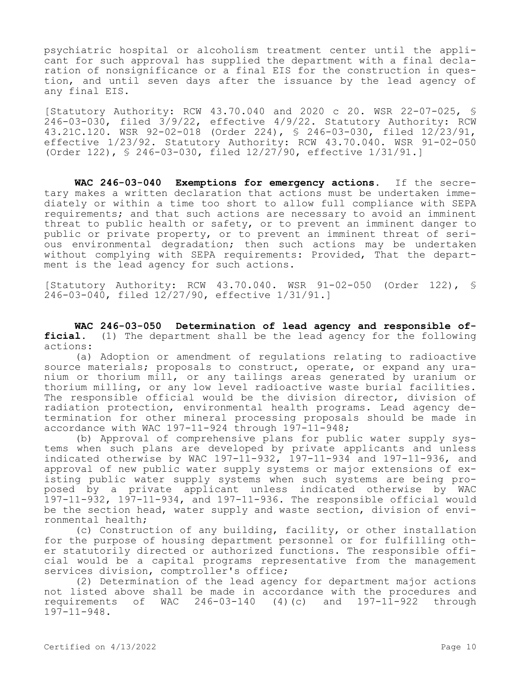psychiatric hospital or alcoholism treatment center until the applicant for such approval has supplied the department with a final declaration of nonsignificance or a final EIS for the construction in question, and until seven days after the issuance by the lead agency of any final EIS.

[Statutory Authority: RCW 43.70.040 and 2020 c 20. WSR 22-07-025, § 246-03-030, filed 3/9/22, effective 4/9/22. Statutory Authority: RCW 43.21C.120. WSR 92-02-018 (Order 224), § 246-03-030, filed 12/23/91, effective 1/23/92. Statutory Authority: RCW 43.70.040. WSR 91-02-050 (Order 122), § 246-03-030, filed 12/27/90, effective 1/31/91.]

**WAC 246-03-040 Exemptions for emergency actions.** If the secretary makes a written declaration that actions must be undertaken immediately or within a time too short to allow full compliance with SEPA requirements; and that such actions are necessary to avoid an imminent threat to public health or safety, or to prevent an imminent danger to public or private property, or to prevent an imminent threat of serious environmental degradation; then such actions may be undertaken without complying with SEPA requirements: Provided, That the department is the lead agency for such actions.

[Statutory Authority: RCW 43.70.040. WSR 91-02-050 (Order 122), § 246-03-040, filed 12/27/90, effective 1/31/91.]

**WAC 246-03-050 Determination of lead agency and responsible official.** (1) The department shall be the lead agency for the following actions:

(a) Adoption or amendment of regulations relating to radioactive source materials; proposals to construct, operate, or expand any uranium or thorium mill, or any tailings areas generated by uranium or thorium milling, or any low level radioactive waste burial facilities. The responsible official would be the division director, division of radiation protection, environmental health programs. Lead agency determination for other mineral processing proposals should be made in accordance with WAC 197-11-924 through 197-11-948;

(b) Approval of comprehensive plans for public water supply systems when such plans are developed by private applicants and unless indicated otherwise by WAC 197-11-932, 197-11-934 and 197-11-936, and approval of new public water supply systems or major extensions of existing public water supply systems when such systems are being proposed by a private applicant unless indicated otherwise by WAC 197-11-932, 197-11-934, and 197-11-936. The responsible official would be the section head, water supply and waste section, division of environmental health;

(c) Construction of any building, facility, or other installation for the purpose of housing department personnel or for fulfilling other statutorily directed or authorized functions. The responsible official would be a capital programs representative from the management services division, comptroller's office;

(2) Determination of the lead agency for department major actions not listed above shall be made in accordance with the procedures and requirements of WAC 246-03-140 (4)(c) and 197-11-922 through 197-11-948.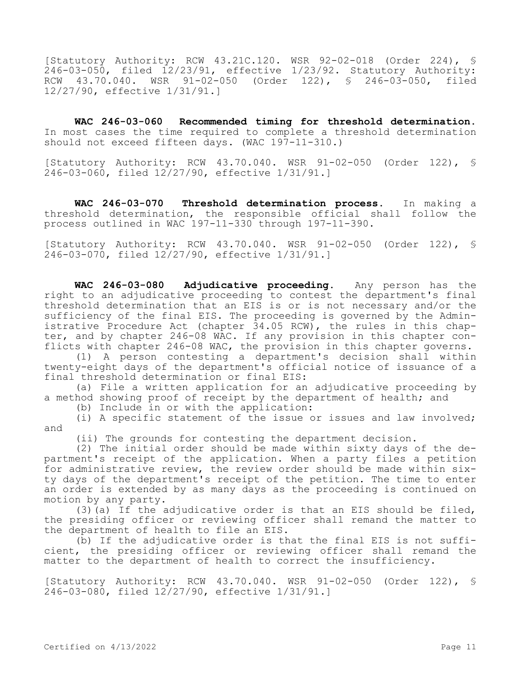[Statutory Authority: RCW 43.21C.120. WSR 92-02-018 (Order 224), § 246-03-050, filed 12/23/91, effective 1/23/92. Statutory Authority: RCW 43.70.040. WSR 91-02-050 (Order 122), § 246-03-050, filed 12/27/90, effective 1/31/91.]

**WAC 246-03-060 Recommended timing for threshold determination.**  In most cases the time required to complete a threshold determination should not exceed fifteen days. (WAC 197-11-310.)

[Statutory Authority: RCW 43.70.040. WSR 91-02-050 (Order 122), § 246-03-060, filed 12/27/90, effective 1/31/91.]

**WAC 246-03-070 Threshold determination process.** In making a threshold determination, the responsible official shall follow the process outlined in WAC 197-11-330 through 197-11-390.

[Statutory Authority: RCW 43.70.040. WSR 91-02-050 (Order 122), § 246-03-070, filed 12/27/90, effective 1/31/91.]

**WAC 246-03-080 Adjudicative proceeding.** Any person has the right to an adjudicative proceeding to contest the department's final threshold determination that an EIS is or is not necessary and/or the sufficiency of the final EIS. The proceeding is governed by the Administrative Procedure Act (chapter 34.05 RCW), the rules in this chapter, and by chapter 246-08 WAC. If any provision in this chapter conflicts with chapter 246-08 WAC, the provision in this chapter governs.

(1) A person contesting a department's decision shall within twenty-eight days of the department's official notice of issuance of a final threshold determination or final EIS:

(a) File a written application for an adjudicative proceeding by a method showing proof of receipt by the department of health; and

(b) Include in or with the application:

(i) A specific statement of the issue or issues and law involved; and

(ii) The grounds for contesting the department decision.

(2) The initial order should be made within sixty days of the department's receipt of the application. When a party files a petition for administrative review, the review order should be made within sixty days of the department's receipt of the petition. The time to enter an order is extended by as many days as the proceeding is continued on motion by any party.

(3)(a) If the adjudicative order is that an EIS should be filed, the presiding officer or reviewing officer shall remand the matter to the department of health to file an EIS.

(b) If the adjudicative order is that the final EIS is not sufficient, the presiding officer or reviewing officer shall remand the matter to the department of health to correct the insufficiency.

[Statutory Authority: RCW 43.70.040. WSR 91-02-050 (Order 122), § 246-03-080, filed 12/27/90, effective 1/31/91.]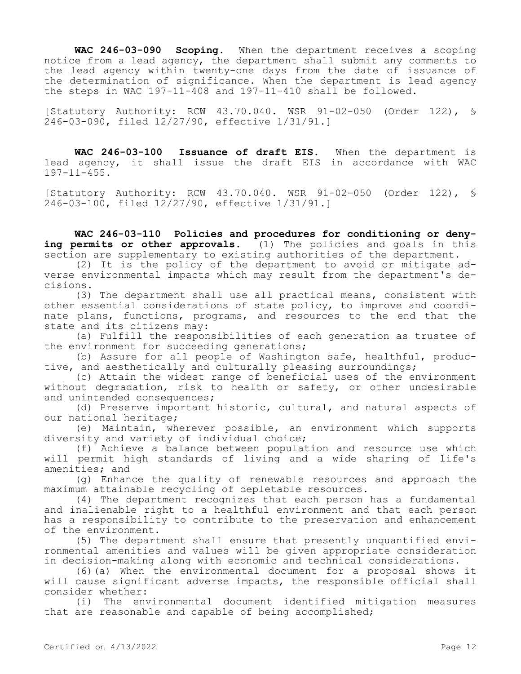**WAC 246-03-090 Scoping.** When the department receives a scoping notice from a lead agency, the department shall submit any comments to the lead agency within twenty-one days from the date of issuance of the determination of significance. When the department is lead agency the steps in WAC 197-11-408 and 197-11-410 shall be followed.

[Statutory Authority: RCW 43.70.040. WSR 91-02-050 (Order 122), § 246-03-090, filed 12/27/90, effective 1/31/91.]

**WAC 246-03-100 Issuance of draft EIS.** When the department is lead agency, it shall issue the draft EIS in accordance with WAC 197-11-455.

[Statutory Authority: RCW 43.70.040. WSR 91-02-050 (Order 122), § 246-03-100, filed 12/27/90, effective 1/31/91.]

**WAC 246-03-110 Policies and procedures for conditioning or denying permits or other approvals.** (1) The policies and goals in this section are supplementary to existing authorities of the department.

(2) It is the policy of the department to avoid or mitigate adverse environmental impacts which may result from the department's decisions.

(3) The department shall use all practical means, consistent with other essential considerations of state policy, to improve and coordinate plans, functions, programs, and resources to the end that the state and its citizens may:

(a) Fulfill the responsibilities of each generation as trustee of the environment for succeeding generations;

(b) Assure for all people of Washington safe, healthful, productive, and aesthetically and culturally pleasing surroundings;

(c) Attain the widest range of beneficial uses of the environment without degradation, risk to health or safety, or other undesirable and unintended consequences;

(d) Preserve important historic, cultural, and natural aspects of our national heritage;

(e) Maintain, wherever possible, an environment which supports diversity and variety of individual choice;

(f) Achieve a balance between population and resource use which will permit high standards of living and a wide sharing of life's amenities; and

(g) Enhance the quality of renewable resources and approach the maximum attainable recycling of depletable resources.

(4) The department recognizes that each person has a fundamental and inalienable right to a healthful environment and that each person has a responsibility to contribute to the preservation and enhancement of the environment.

(5) The department shall ensure that presently unquantified environmental amenities and values will be given appropriate consideration in decision-making along with economic and technical considerations.

(6)(a) When the environmental document for a proposal shows it will cause significant adverse impacts, the responsible official shall consider whether:

(i) The environmental document identified mitigation measures that are reasonable and capable of being accomplished;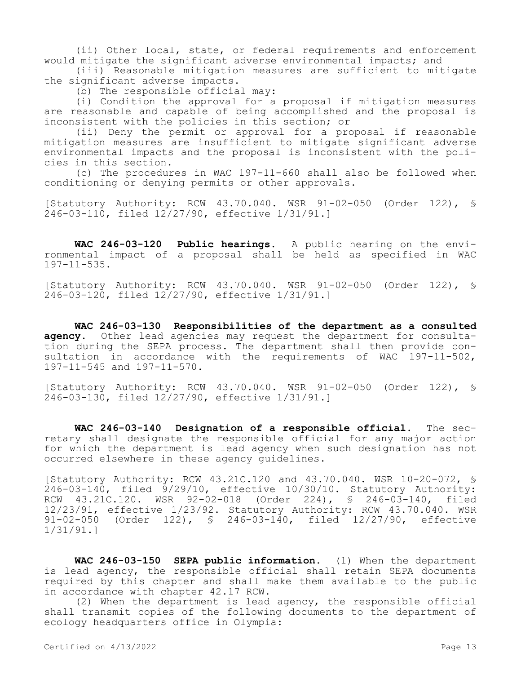(ii) Other local, state, or federal requirements and enforcement would mitigate the significant adverse environmental impacts; and

(iii) Reasonable mitigation measures are sufficient to mitigate the significant adverse impacts.

(b) The responsible official may:

(i) Condition the approval for a proposal if mitigation measures are reasonable and capable of being accomplished and the proposal is inconsistent with the policies in this section; or

(ii) Deny the permit or approval for a proposal if reasonable mitigation measures are insufficient to mitigate significant adverse environmental impacts and the proposal is inconsistent with the policies in this section.

(c) The procedures in WAC 197-11-660 shall also be followed when conditioning or denying permits or other approvals.

[Statutory Authority: RCW 43.70.040. WSR 91-02-050 (Order 122), § 246-03-110, filed 12/27/90, effective 1/31/91.]

**WAC 246-03-120 Public hearings.** A public hearing on the environmental impact of a proposal shall be held as specified in WAC 197-11-535.

[Statutory Authority: RCW 43.70.040. WSR 91-02-050 (Order 122), § 246-03-120, filed 12/27/90, effective 1/31/91.]

**WAC 246-03-130 Responsibilities of the department as a consulted agency.** Other lead agencies may request the department for consultation during the SEPA process. The department shall then provide consultation in accordance with the requirements of WAC 197-11-502, 197-11-545 and 197-11-570.

[Statutory Authority: RCW 43.70.040. WSR 91-02-050 (Order 122), § 246-03-130, filed 12/27/90, effective 1/31/91.]

**WAC 246-03-140 Designation of a responsible official.** The secretary shall designate the responsible official for any major action for which the department is lead agency when such designation has not occurred elsewhere in these agency guidelines.

[Statutory Authority: RCW 43.21C.120 and 43.70.040. WSR 10-20-072, § 246-03-140, filed 9/29/10, effective 10/30/10. Statutory Authority: RCW 43.21C.120. WSR 92-02-018 (Order 224), § 246-03-140, filed 12/23/91, effective 1/23/92. Statutory Authority: RCW 43.70.040. WSR<br>91-02-050 (Order 122), § 246-03-140, filed 12/27/90, effective (Order 122),  $\frac{123}{5}$  246-03-140, filed 12/27/90, effective 1/31/91.]

**WAC 246-03-150 SEPA public information.** (1) When the department is lead agency, the responsible official shall retain SEPA documents required by this chapter and shall make them available to the public in accordance with chapter 42.17 RCW.

(2) When the department is lead agency, the responsible official shall transmit copies of the following documents to the department of ecology headquarters office in Olympia: